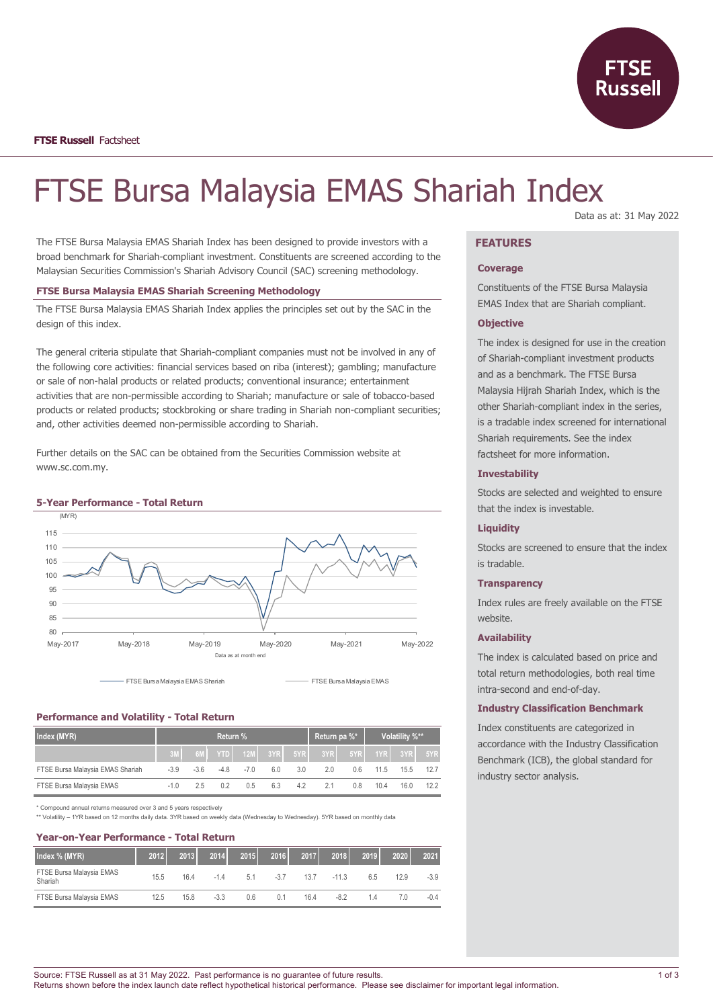

# FTSE Bursa Malaysia EMAS Shariah Index

The FTSE Bursa Malaysia EMAS Shariah Index has been designed to provide investors with a broad benchmark for Shariah-compliant investment. Constituents are screened according to the Malaysian Securities Commission's Shariah Advisory Council (SAC) screening methodology.

## **FTSE Bursa Malaysia EMAS Shariah Screening Methodology**

The FTSE Bursa Malaysia EMAS Shariah Index applies the principles set out by the SAC in the design of this index.

The general criteria stipulate that Shariah-compliant companies must not be involved in any of the following core activities: financial services based on riba (interest); gambling; manufacture or sale of non-halal products or related products; conventional insurance; entertainment activities that are non-permissible according to Shariah; manufacture or sale of tobacco-based products or related products; stockbroking or share trading in Shariah non-compliant securities; and, other activities deemed non-permissible according to Shariah.

Further details on the SAC can be obtained from the Securities Commission website at www.sc.com.my.





FTSE Bursa Malaysia EMAS Shariah FTSE Bursa Malaysia EMAS

## **Performance and Volatility - Total Return**

| Index (MYR)                      | Return % |        |      |        |     | Return pa %* |                                             | Volatility %** |      |      |      |
|----------------------------------|----------|--------|------|--------|-----|--------------|---------------------------------------------|----------------|------|------|------|
|                                  |          | 6M     |      |        |     |              | YTDI 12ML 3YRI 5YRI 3YRI 5YRI 1YRI 3YRI 5YR |                |      |      |      |
| FTSE Bursa Malaysia EMAS Shariah | $-3.9$   | $-3.6$ | -4.8 | $-7.0$ | 6.0 | 3.0          | 20                                          | 0.6            | 11.5 | 15.5 |      |
| FTSE Bursa Malaysia EMAS         | -1.0     | 25     | 02.  | 0.5    | 6.3 | 4.2          | 21                                          | 0.8            | 10.4 | 16.0 | 12.2 |

\* Compound annual returns measured over 3 and 5 years respectively

\*\* Volatility – 1YR based on 12 months daily data. 3YR based on weekly data (Wednesday to Wednesday). 5YR based on monthly data

| <b>Year-on-Year Performance - Total Return</b> |      |      |        |      |       |                |         |      |      |        |
|------------------------------------------------|------|------|--------|------|-------|----------------|---------|------|------|--------|
| Index % (MYR)                                  | 2012 | 2013 | 2014   | 2015 |       | 2016 2017 2018 |         | 2019 | 2020 | 2021   |
| FTSE Bursa Malaysia EMAS<br>Shariah            | 15.5 | 164  | $-14$  | 5.1  | $-37$ | 13.7           | $-11.3$ | 65   | 129  | $-3.9$ |
| FTSE Bursa Malaysia EMAS                       | 12.5 | 15.8 | $-3.3$ | 0.6  | 0.1   | 16.4           | -82     | 14   | 70   | $-0.4$ |

Data as at: 31 May 2022

# **FEATURES**

#### **Coverage**

Constituents of the FTSE Bursa Malaysia EMAS Index that are Shariah compliant.

#### **Objective**

The index is designed for use in the creation of Shariah-compliant investment products and as a benchmark. The FTSE Bursa Malaysia Hijrah Shariah Index, which is the other Shariah-compliant index in the series, is a tradable index screened for international Shariah requirements. See the index factsheet for more information.

## **Investability**

Stocks are selected and weighted to ensure that the index is investable.

#### **Liquidity**

Stocks are screened to ensure that the index is tradable.

## **Transparency**

Index rules are freely available on the FTSE website.

#### **Availability**

The index is calculated based on price and total return methodologies, both real time intra-second and end-of-day.

#### **Industry Classification Benchmark**

Index constituents are categorized in accordance with the Industry Classification Benchmark (ICB), the global standard for industry sector analysis.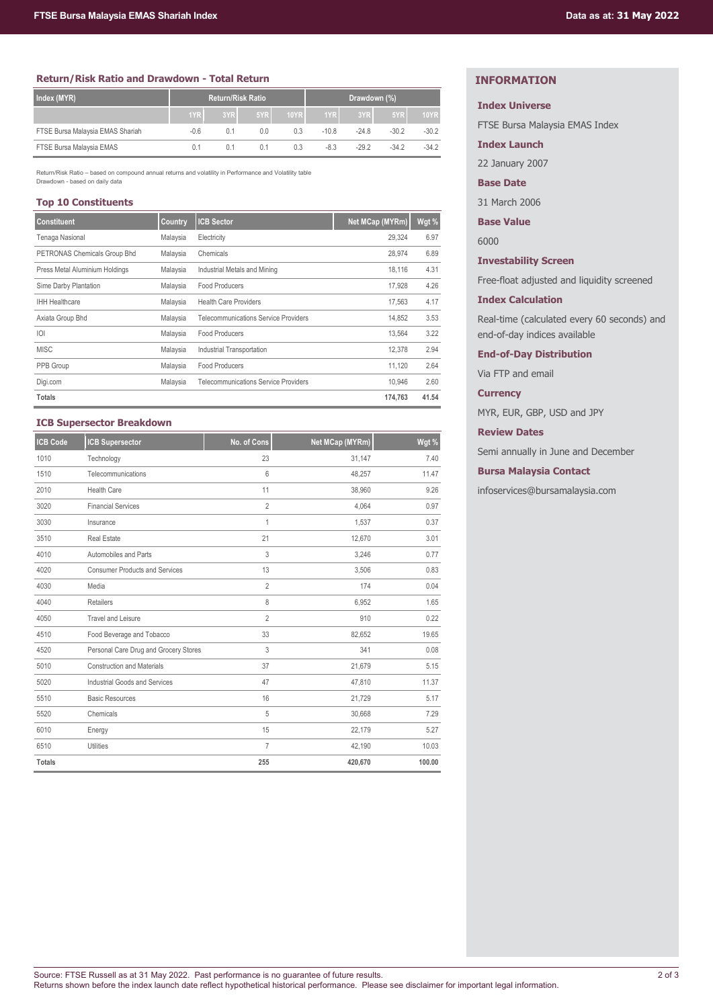# **Return/Risk Ratio and Drawdown - Total Return**

| Index (MYR)                      | <b>Return/Risk Ratio</b> |     |     |             | Drawdown (%) |         |         |             |
|----------------------------------|--------------------------|-----|-----|-------------|--------------|---------|---------|-------------|
|                                  | 1YR                      | 3YR | 5YR | <b>10YR</b> | 1YR          | 3YR     | 5YR     | <b>10YR</b> |
| FTSE Bursa Malaysia EMAS Shariah | $-0.6$                   | 0.1 | 0.0 | 0.3         | $-10.8$      | $-24.8$ | $-30.2$ | $-30.2$     |
| FTSE Bursa Malaysia EMAS         | 0.1                      | 0.1 | 0.1 | 0.3         | $-8.3$       | $-29.2$ | $-34.2$ | $-34.2$     |

Return/Risk Ratio – based on compound annual returns and volatility in Performance and Volatility table Drawdown - based on daily data

# **Top 10 Constituents**

| <b>Constituent</b>             | Country  | <b>ICB Sector</b>                           | Net MCap (MYRm) | Wgt % |
|--------------------------------|----------|---------------------------------------------|-----------------|-------|
| Tenaga Nasional                | Malaysia | Electricity                                 | 29.324          | 6.97  |
| PETRONAS Chemicals Group Bhd   | Malaysia | Chemicals                                   | 28,974          | 6.89  |
| Press Metal Aluminium Holdings | Malaysia | Industrial Metals and Mining                | 18,116          | 4.31  |
| Sime Darby Plantation          | Malaysia | Food Producers                              | 17.928          | 4.26  |
| <b>IHH Healthcare</b>          | Malaysia | <b>Health Care Providers</b>                | 17.563          | 4.17  |
| Axiata Group Bhd               | Malaysia | <b>Telecommunications Service Providers</b> | 14.852          | 3.53  |
| O                              | Malaysia | Food Producers                              | 13.564          | 3.22  |
| <b>MISC</b>                    | Malaysia | Industrial Transportation                   | 12,378          | 2.94  |
| PPB Group                      | Malaysia | Food Producers                              | 11,120          | 2.64  |
| Digi.com                       | Malaysia | <b>Telecommunications Service Providers</b> | 10.946          | 2.60  |
| <b>Totals</b>                  |          |                                             | 174,763         | 41.54 |

## **ICB Supersector Breakdown**

| <b>ICB Code</b> | <b>ICB Supersector</b>                | No. of Cons    | Net MCap (MYRm) | Wgt %  |
|-----------------|---------------------------------------|----------------|-----------------|--------|
| 1010            | Technology                            | 23             | 31,147          | 7.40   |
| 1510            | Telecommunications                    | 6              | 48,257          | 11.47  |
| 2010            | <b>Health Care</b>                    | 11             | 38,960          | 9.26   |
| 3020            | <b>Financial Services</b>             | $\overline{2}$ | 4,064           | 0.97   |
| 3030            | Insurance                             | 1              | 1,537           | 0.37   |
| 3510            | <b>Real Estate</b>                    | 21             | 12,670          | 3.01   |
| 4010            | Automobiles and Parts                 | 3              | 3,246           | 0.77   |
| 4020            | <b>Consumer Products and Services</b> | 13             | 3,506           | 0.83   |
| 4030            | Media                                 | $\overline{2}$ | 174             | 0.04   |
| 4040            | Retailers                             | 8              | 6,952           | 1.65   |
| 4050            | <b>Travel and Leisure</b>             | $\overline{2}$ | 910             | 0.22   |
| 4510            | Food Beverage and Tobacco             | 33             | 82,652          | 19.65  |
| 4520            | Personal Care Drug and Grocery Stores | 3              | 341             | 0.08   |
| 5010            | <b>Construction and Materials</b>     | 37             | 21,679          | 5.15   |
| 5020            | Industrial Goods and Services         | 47             | 47,810          | 11.37  |
| 5510            | <b>Basic Resources</b>                | 16             | 21,729          | 5.17   |
| 5520            | Chemicals                             | 5              | 30,668          | 7.29   |
| 6010            | Energy                                | 15             | 22,179          | 5.27   |
| 6510            | <b>Utilities</b>                      | $\overline{7}$ | 42,190          | 10.03  |
| <b>Totals</b>   |                                       | 255            | 420,670         | 100.00 |

# **INFORMATION**

#### **Index Universe**

FTSE Bursa Malaysia EMAS Index

**Index Launch**

22 January 2007

**Base Date**

31 March 2006

**Base Value**

6000

**Investability Screen**

Free-float adjusted and liquidity screened

#### **Index Calculation**

Real-time (calculated every 60 seconds) and end-of-day indices available

**End-of-Day Distribution**

Via FTP and email

**Currency**

MYR, EUR, GBP, USD and JPY

**Review Dates**

Semi annually in June and December

**Bursa Malaysia Contact**

infoservices@bursamalaysia.com